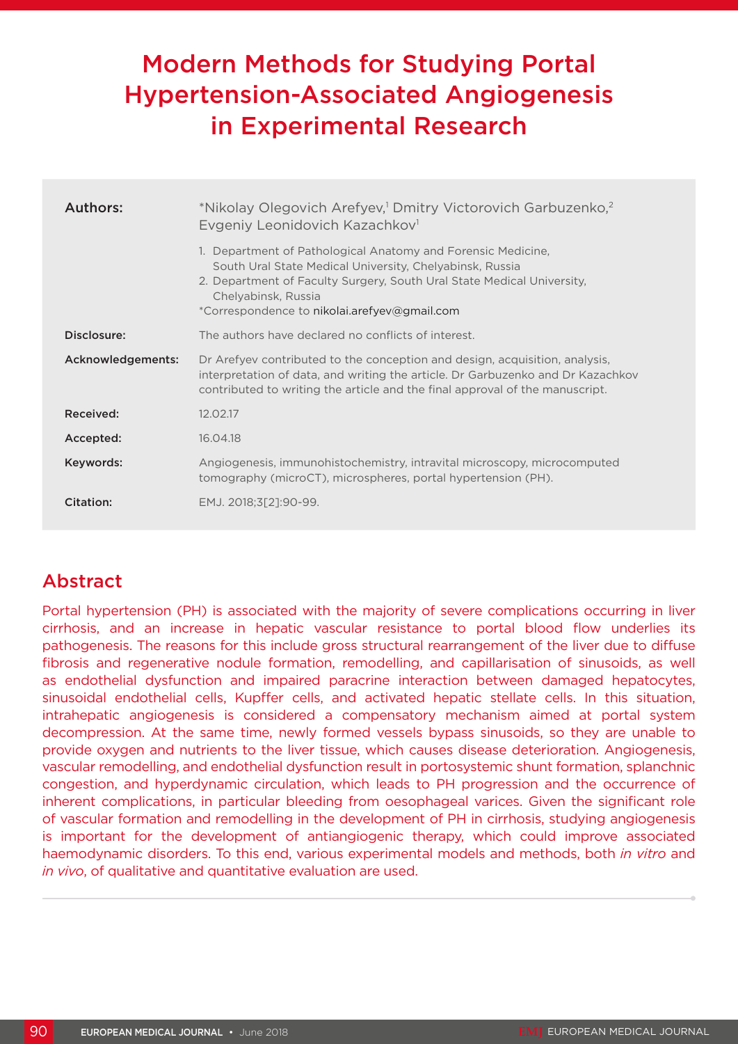# Modern Methods for Studying Portal Hypertension-Associated Angiogenesis in Experimental Research

| Authors:          | *Nikolay Olegovich Arefyev, <sup>1</sup> Dmitry Victorovich Garbuzenko, <sup>2</sup><br>Evgeniy Leonidovich Kazachkov <sup>1</sup>                                                                                                                                        |
|-------------------|---------------------------------------------------------------------------------------------------------------------------------------------------------------------------------------------------------------------------------------------------------------------------|
|                   | 1. Department of Pathological Anatomy and Forensic Medicine.<br>South Ural State Medical University, Chelyabinsk, Russia<br>2. Department of Faculty Surgery, South Ural State Medical University,<br>Chelyabinsk, Russia<br>*Correspondence to nikolai.arefyev@gmail.com |
| Disclosure:       | The authors have declared no conflicts of interest.                                                                                                                                                                                                                       |
| Acknowledgements: | Dr Arefyev contributed to the conception and design, acquisition, analysis,<br>interpretation of data, and writing the article. Dr Garbuzenko and Dr Kazachkov<br>contributed to writing the article and the final approval of the manuscript.                            |
| Received:         | 12.02.17                                                                                                                                                                                                                                                                  |
| Accepted:         | 16.04.18                                                                                                                                                                                                                                                                  |
| Keywords:         | Angiogenesis, immunohistochemistry, intravital microscopy, microcomputed<br>tomography (microCT), microspheres, portal hypertension (PH).                                                                                                                                 |
| Citation:         | EMJ. 2018;3[2]:90-99.                                                                                                                                                                                                                                                     |

# Abstract

Portal hypertension (PH) is associated with the majority of severe complications occurring in liver cirrhosis, and an increase in hepatic vascular resistance to portal blood flow underlies its pathogenesis. The reasons for this include gross structural rearrangement of the liver due to diffuse fibrosis and regenerative nodule formation, remodelling, and capillarisation of sinusoids, as well as endothelial dysfunction and impaired paracrine interaction between damaged hepatocytes, sinusoidal endothelial cells, Kupffer cells, and activated hepatic stellate cells. In this situation, intrahepatic angiogenesis is considered a compensatory mechanism aimed at portal system decompression. At the same time, newly formed vessels bypass sinusoids, so they are unable to provide oxygen and nutrients to the liver tissue, which causes disease deterioration. Angiogenesis, vascular remodelling, and endothelial dysfunction result in portosystemic shunt formation, splanchnic congestion, and hyperdynamic circulation, which leads to PH progression and the occurrence of inherent complications, in particular bleeding from oesophageal varices. Given the significant role of vascular formation and remodelling in the development of PH in cirrhosis, studying angiogenesis is important for the development of antiangiogenic therapy, which could improve associated haemodynamic disorders. To this end, various experimental models and methods, both *in vitro* and *in vivo*, of qualitative and quantitative evaluation are used.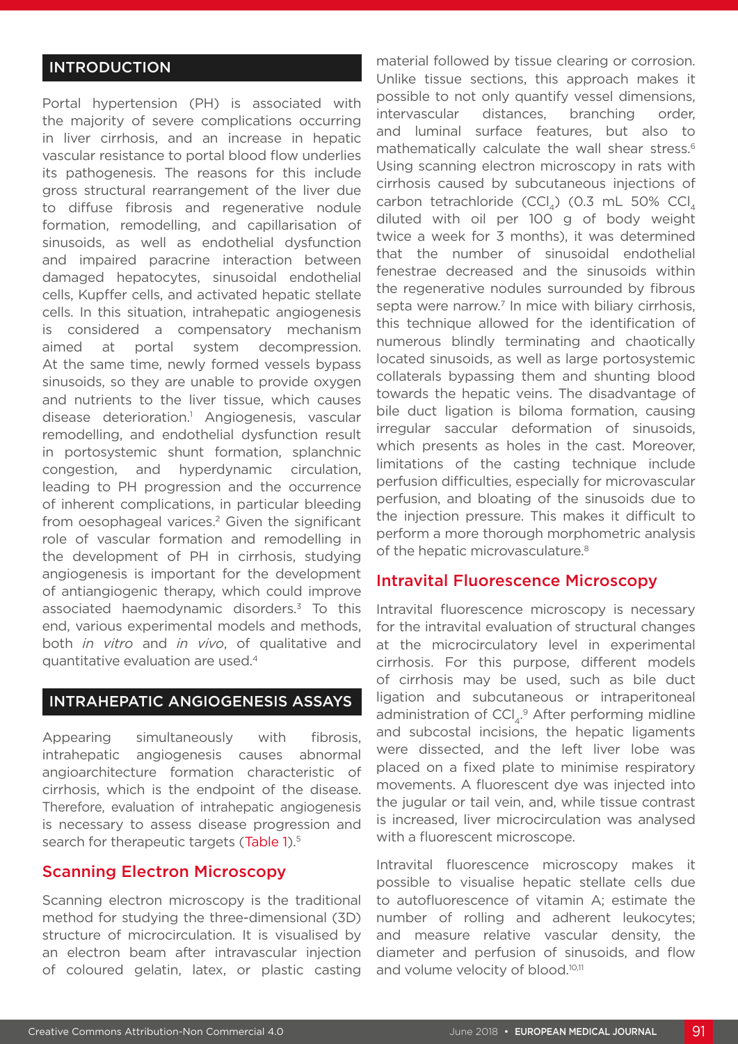### INTRODUCTION

Portal hypertension (PH) is associated with the majority of severe complications occurring in liver cirrhosis, and an increase in hepatic vascular resistance to portal blood flow underlies its pathogenesis. The reasons for this include gross structural rearrangement of the liver due to diffuse fibrosis and regenerative nodule formation, remodelling, and capillarisation of sinusoids, as well as endothelial dysfunction and impaired paracrine interaction between damaged hepatocytes, sinusoidal endothelial cells, Kupffer cells, and activated hepatic stellate cells. In this situation, intrahepatic angiogenesis is considered a compensatory mechanism aimed at portal system decompression. At the same time, newly formed vessels bypass sinusoids, so they are unable to provide oxygen and nutrients to the liver tissue, which causes disease deterioration.1 Angiogenesis, vascular remodelling, and endothelial dysfunction result in portosystemic shunt formation, splanchnic congestion, and hyperdynamic circulation, leading to PH progression and the occurrence of inherent complications, in particular bleeding from oesophageal varices.<sup>2</sup> Given the significant role of vascular formation and remodelling in the development of PH in cirrhosis, studying angiogenesis is important for the development of antiangiogenic therapy, which could improve associated haemodynamic disorders.3 To this end, various experimental models and methods, both *in vitro* and *in vivo*, of qualitative and quantitative evaluation are used.4

#### INTRAHEPATIC ANGIOGENESIS ASSAYS

Appearing simultaneously with fibrosis, intrahepatic angiogenesis causes abnormal angioarchitecture formation characteristic of cirrhosis, which is the endpoint of the disease. Therefore, evaluation of intrahepatic angiogenesis is necessary to assess disease progression and search for therapeutic targets (Table 1).<sup>5</sup>

### Scanning Electron Microscopy

Scanning electron microscopy is the traditional method for studying the three-dimensional (3D) structure of microcirculation. It is visualised by an electron beam after intravascular injection of coloured gelatin, latex, or plastic casting

material followed by tissue clearing or corrosion. Unlike tissue sections, this approach makes it possible to not only quantify vessel dimensions, intervascular distances, branching order, and luminal surface features, but also to mathematically calculate the wall shear stress.<sup>6</sup> Using scanning electron microscopy in rats with cirrhosis caused by subcutaneous injections of carbon tetrachloride (CCl<sub>4</sub>) (0.3 mL 50% CCl<sub>4</sub> diluted with oil per 100 g of body weight twice a week for 3 months), it was determined that the number of sinusoidal endothelial fenestrae decreased and the sinusoids within the regenerative nodules surrounded by fibrous septa were narrow.<sup>7</sup> In mice with biliary cirrhosis, this technique allowed for the identification of numerous blindly terminating and chaotically located sinusoids, as well as large portosystemic collaterals bypassing them and shunting blood towards the hepatic veins. The disadvantage of bile duct ligation is biloma formation, causing irregular saccular deformation of sinusoids, which presents as holes in the cast. Moreover, limitations of the casting technique include perfusion difficulties, especially for microvascular perfusion, and bloating of the sinusoids due to the injection pressure. This makes it difficult to perform a more thorough morphometric analysis of the hepatic microvasculature.<sup>8</sup>

#### Intravital Fluorescence Microscopy

Intravital fluorescence microscopy is necessary for the intravital evaluation of structural changes at the microcirculatory level in experimental cirrhosis. For this purpose, different models of cirrhosis may be used, such as bile duct ligation and subcutaneous or intraperitoneal administration of  $\text{CCI}_{4}$ .<sup>9</sup> After performing midline and subcostal incisions, the hepatic ligaments were dissected, and the left liver lobe was placed on a fixed plate to minimise respiratory movements. A fluorescent dye was injected into the jugular or tail vein, and, while tissue contrast is increased, liver microcirculation was analysed with a fluorescent microscope.

Intravital fluorescence microscopy makes it possible to visualise hepatic stellate cells due to autofluorescence of vitamin A; estimate the number of rolling and adherent leukocytes; and measure relative vascular density, the diameter and perfusion of sinusoids, and flow and volume velocity of blood.<sup>10,11</sup>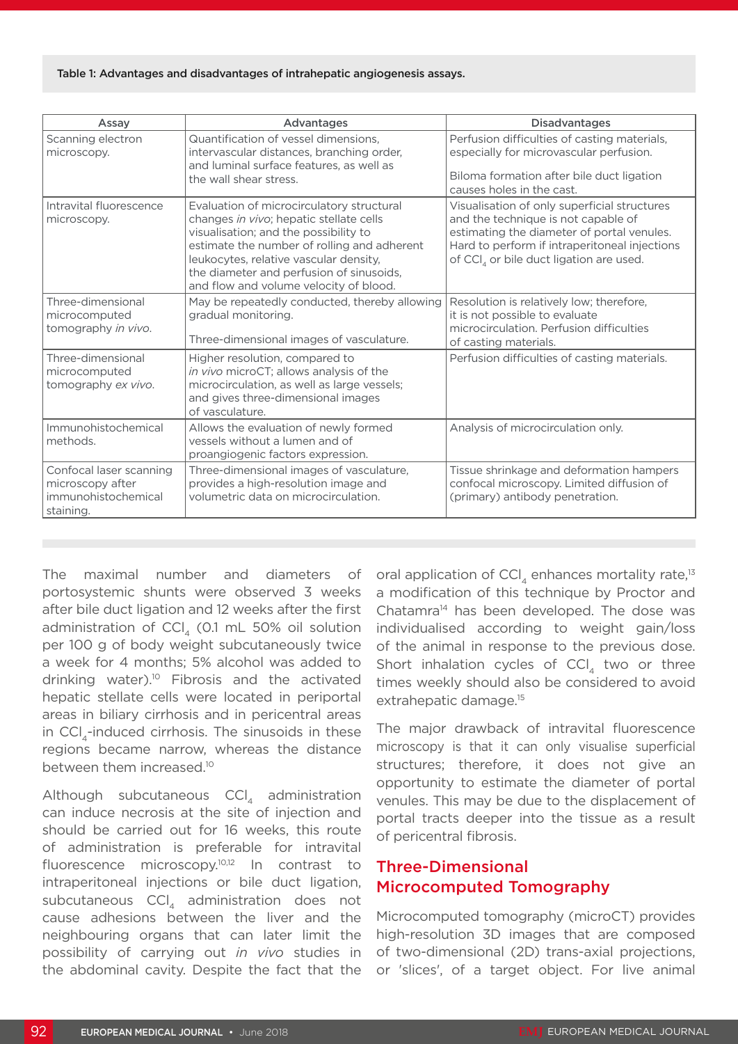#### Table 1: Advantages and disadvantages of intrahepatic angiogenesis assays.

| Assay                                                                           | Advantages                                                                                                                                                                                                                                                                                                   | <b>Disadvantages</b>                                                                                                                                                                                                                      |
|---------------------------------------------------------------------------------|--------------------------------------------------------------------------------------------------------------------------------------------------------------------------------------------------------------------------------------------------------------------------------------------------------------|-------------------------------------------------------------------------------------------------------------------------------------------------------------------------------------------------------------------------------------------|
| Scanning electron<br>microscopy.                                                | Quantification of vessel dimensions,<br>intervascular distances, branching order,<br>and luminal surface features, as well as<br>the wall shear stress.                                                                                                                                                      | Perfusion difficulties of casting materials,<br>especially for microvascular perfusion.<br>Biloma formation after bile duct ligation<br>causes holes in the cast.                                                                         |
| Intravital fluorescence<br>microscopy.                                          | Evaluation of microcirculatory structural<br>changes in vivo; hepatic stellate cells<br>visualisation; and the possibility to<br>estimate the number of rolling and adherent<br>leukocytes, relative vascular density,<br>the diameter and perfusion of sinusoids,<br>and flow and volume velocity of blood. | Visualisation of only superficial structures<br>and the technique is not capable of<br>estimating the diameter of portal venules.<br>Hard to perform if intraperitoneal injections<br>of CCI <sub>4</sub> or bile duct ligation are used. |
| Three-dimensional<br>microcomputed<br>tomography in vivo.                       | May be repeatedly conducted, thereby allowing<br>gradual monitoring.<br>Three-dimensional images of vasculature.                                                                                                                                                                                             | Resolution is relatively low; therefore,<br>it is not possible to evaluate<br>microcirculation. Perfusion difficulties<br>of casting materials.                                                                                           |
| Three-dimensional<br>microcomputed<br>tomography ex vivo.                       | Higher resolution, compared to<br>in vivo microCT; allows analysis of the<br>microcirculation, as well as large vessels;<br>and gives three-dimensional images<br>of vasculature.                                                                                                                            | Perfusion difficulties of casting materials.                                                                                                                                                                                              |
| Immunohistochemical<br>methods.                                                 | Allows the evaluation of newly formed<br>vessels without a lumen and of<br>proangiogenic factors expression.                                                                                                                                                                                                 | Analysis of microcirculation only.                                                                                                                                                                                                        |
| Confocal laser scanning<br>microscopy after<br>immunohistochemical<br>staining. | Three-dimensional images of vasculature,<br>provides a high-resolution image and<br>volumetric data on microcirculation.                                                                                                                                                                                     | Tissue shrinkage and deformation hampers<br>confocal microscopy. Limited diffusion of<br>(primary) antibody penetration.                                                                                                                  |

The maximal number and diameters of portosystemic shunts were observed 3 weeks after bile duct ligation and 12 weeks after the first administration of  $CCl<sub>4</sub>$  (0.1 mL 50% oil solution per 100 g of body weight subcutaneously twice a week for 4 months; 5% alcohol was added to drinking water).10 Fibrosis and the activated hepatic stellate cells were located in periportal areas in biliary cirrhosis and in pericentral areas in  $\text{CCI}_4$ -induced cirrhosis. The sinusoids in these regions became narrow, whereas the distance between them increased.<sup>10</sup>

Although subcutaneous CCI, administration can induce necrosis at the site of injection and should be carried out for 16 weeks, this route of administration is preferable for intravital fluorescence microscopy.10,12 In contrast to intraperitoneal injections or bile duct ligation, subcutaneous CCl, administration does not cause adhesions between the liver and the neighbouring organs that can later limit the possibility of carrying out *in vivo* studies in the abdominal cavity. Despite the fact that the

oral application of CCl<sub>4</sub> enhances mortality rate,<sup>13</sup> a modification of this technique by Proctor and Chatamra14 has been developed. The dose was individualised according to weight gain/loss of the animal in response to the previous dose. Short inhalation cycles of  $\text{CCI}_{4}$  two or three times weekly should also be considered to avoid extrahepatic damage.<sup>15</sup>

The major drawback of intravital fluorescence microscopy is that it can only visualise superficial structures; therefore, it does not give an opportunity to estimate the diameter of portal venules. This may be due to the displacement of portal tracts deeper into the tissue as a result of pericentral fibrosis.

### Three-Dimensional Microcomputed Tomography

Microcomputed tomography (microCT) provides high-resolution 3D images that are composed of two-dimensional (2D) trans-axial projections, or 'slices', of a target object. For live animal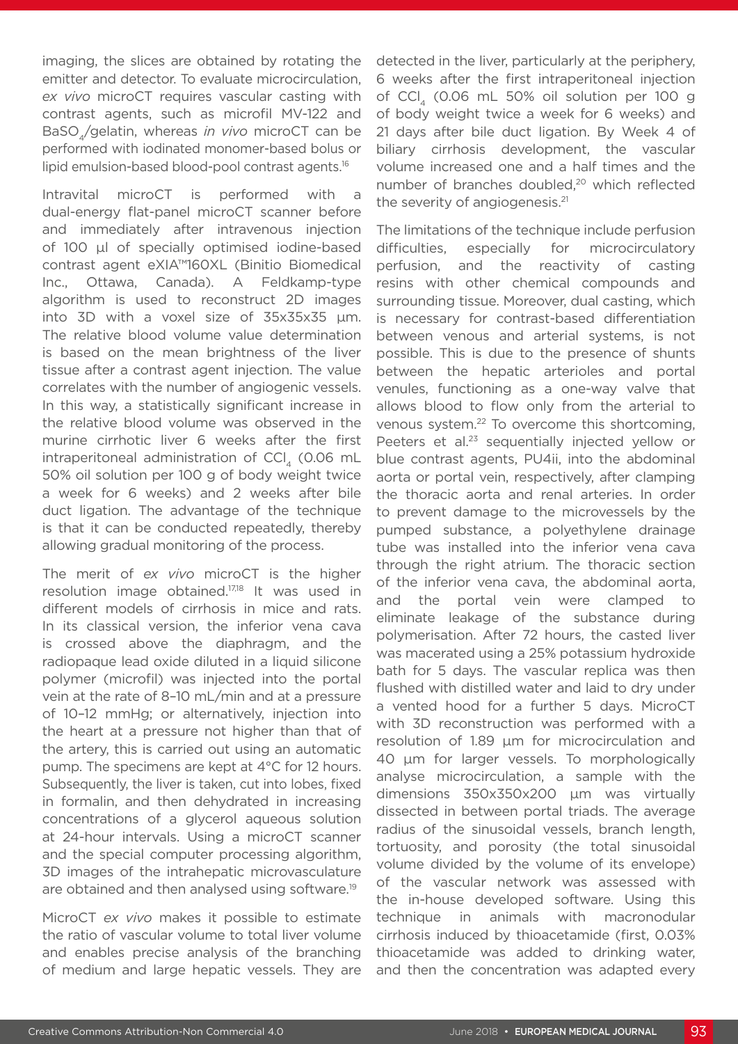imaging, the slices are obtained by rotating the emitter and detector. To evaluate microcirculation, *ex vivo* microCT requires vascular casting with contrast agents, such as microfil MV-122 and BaSO4/gelatin, whereas *in vivo* microCT can be performed with iodinated monomer-based bolus or lipid emulsion-based blood-pool contrast agents.16

Intravital microCT is performed with a dual-energy flat-panel microCT scanner before and immediately after intravenous injection of 100 μl of specially optimised iodine-based contrast agent eXIA™160XL (Binitio Biomedical Inc., Ottawa, Canada). A Feldkamp-type algorithm is used to reconstruct 2D images into 3D with a voxel size of 35x35x35 μm. The relative blood volume value determination is based on the mean brightness of the liver tissue after a contrast agent injection. The value correlates with the number of angiogenic vessels. In this way, a statistically significant increase in the relative blood volume was observed in the murine cirrhotic liver 6 weeks after the first intraperitoneal administration of CCl, (0.06 mL 50% oil solution per 100 g of body weight twice a week for 6 weeks) and 2 weeks after bile duct ligation. The advantage of the technique is that it can be conducted repeatedly, thereby allowing gradual monitoring of the process.

The merit of *ex vivo* microCT is the higher resolution image obtained.17,18 It was used in different models of cirrhosis in mice and rats. In its classical version, the inferior vena cava is crossed above the diaphragm, and the radiopaque lead oxide diluted in a liquid silicone polymer (microfil) was injected into the portal vein at the rate of 8–10 mL/min and at a pressure of 10–12 mmHg; or alternatively, injection into the heart at a pressure not higher than that of the artery, this is carried out using an automatic pump. The specimens are kept at 4°C for 12 hours. Subsequently, the liver is taken, cut into lobes, fixed in formalin, and then dehydrated in increasing concentrations of a glycerol aqueous solution at 24-hour intervals. Using a microCT scanner and the special computer processing algorithm, 3D images of the intrahepatic microvasculature are obtained and then analysed using software.<sup>19</sup>

MicroCT *ex vivo* makes it possible to estimate the ratio of vascular volume to total liver volume and enables precise analysis of the branching of medium and large hepatic vessels. They are

detected in the liver, particularly at the periphery, 6 weeks after the first intraperitoneal injection of CCl, (0.06 mL 50% oil solution per 100 g of body weight twice a week for 6 weeks) and 21 days after bile duct ligation. By Week 4 of biliary cirrhosis development, the vascular volume increased one and a half times and the number of branches doubled,20 which reflected the severity of angiogenesis.<sup>21</sup>

The limitations of the technique include perfusion difficulties, especially for microcirculatory perfusion, and the reactivity of casting resins with other chemical compounds and surrounding tissue. Moreover, dual casting, which is necessary for contrast-based differentiation between venous and arterial systems, is not possible. This is due to the presence of shunts between the hepatic arterioles and portal venules, functioning as a one-way valve that allows blood to flow only from the arterial to venous system.22 To overcome this shortcoming, Peeters et al.<sup>23</sup> sequentially injected yellow or blue contrast agents, PU4ii, into the abdominal aorta or portal vein, respectively, after clamping the thoracic aorta and renal arteries. In order to prevent damage to the microvessels by the pumped substance, a polyethylene drainage tube was installed into the inferior vena cava through the right atrium. The thoracic section of the inferior vena cava, the abdominal aorta, and the portal vein were clamped to eliminate leakage of the substance during polymerisation. After 72 hours, the casted liver was macerated using a 25% potassium hydroxide bath for 5 days. The vascular replica was then flushed with distilled water and laid to dry under a vented hood for a further 5 days. MicroCT with 3D reconstruction was performed with a resolution of 1.89 μm for microcirculation and 40 μm for larger vessels. To morphologically analyse microcirculation, a sample with the dimensions 350х350х200 μm was virtually dissected in between portal triads. The average radius of the sinusoidal vessels, branch length, tortuosity, and porosity (the total sinusoidal volume divided by the volume of its envelope) of the vascular network was assessed with the in-house developed software. Using this technique in animals with macronodular cirrhosis induced by thioacetamide (first, 0.03% thioacetamide was added to drinking water, and then the concentration was adapted every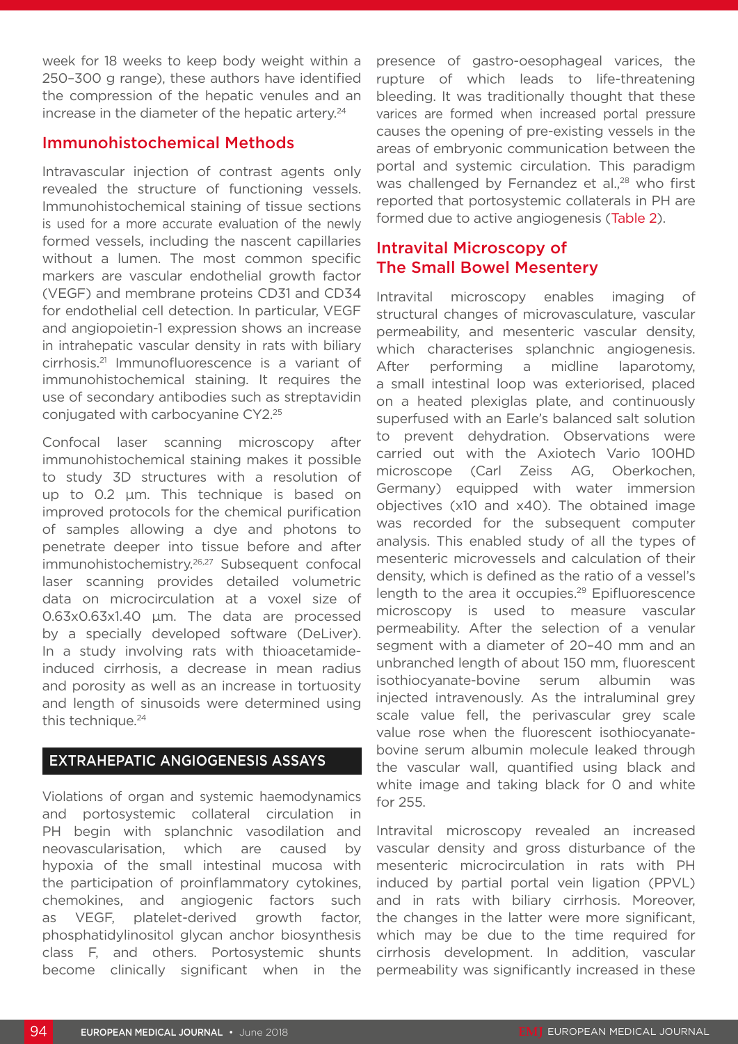week for 18 weeks to keep body weight within a 250–300 g range), these authors have identified the compression of the hepatic venules and an increase in the diameter of the hepatic artery.<sup>24</sup>

### Immunohistochemical Methods

Intravascular injection of contrast agents only revealed the structure of functioning vessels. Immunohistochemical staining of tissue sections is used for a more accurate evaluation of the newly formed vessels, including the nascent capillaries without a lumen. The most common specific markers are vascular endothelial growth factor (VEGF) and membrane proteins CD31 and CD34 for endothelial cell detection. In particular, VEGF and angiopoietin-1 expression shows an increase in intrahepatic vascular density in rats with biliary cirrhosis.21 Immunofluorescence is a variant of immunohistochemical staining. It requires the use of secondary antibodies such as streptavidin conjugated with carbocyanine CY2.25

Confocal laser scanning microscopy after immunohistochemical staining makes it possible to study 3D structures with a resolution of up to 0.2 μm. This technique is based on improved protocols for the chemical purification of samples allowing a dye and photons to penetrate deeper into tissue before and after immunohistochemistry.26,27 Subsequent confocal laser scanning provides detailed volumetric data on microcirculation at a voxel size of 0.63x0.63x1.40 μm. The data are processed by a specially developed software (DeLiver). In a study involving rats with thioacetamideinduced cirrhosis, a decrease in mean radius and porosity as well as an increase in tortuosity and length of sinusoids were determined using this technique.<sup>24</sup>

#### EXTRAHEPATIC ANGIOGENESIS ASSAYS

Violations of organ and systemic haemodynamics and portosystemic collateral circulation in PH begin with splanchnic vasodilation and neovascularisation, which are caused by hypoxia of the small intestinal mucosa with the participation of proinflammatory cytokines, chemokines, and angiogenic factors such as VEGF, platelet-derived growth factor, phosphatidylinositol glycan anchor biosynthesis class F, and others. Portosystemic shunts become clinically significant when in the

presence of gastro-oesophageal varices, the rupture of which leads to life-threatening bleeding. It was traditionally thought that these varices are formed when increased portal pressure causes the opening of pre-existing vessels in the areas of embryonic communication between the portal and systemic circulation. This paradigm was challenged by Fernandez et al.,<sup>28</sup> who first reported that portosystemic collaterals in PH are formed due to active angiogenesis (Table 2).

### Intravital Microscopy of The Small Bowel Mesentery

Intravital microscopy enables imaging of structural changes of microvasculature, vascular permeability, and mesenteric vascular density, which characterises splanchnic angiogenesis. After performing a midline laparotomy, a small intestinal loop was exteriorised, placed on a heated plexiglas plate, and continuously superfused with an Earle's balanced salt solution to prevent dehydration. Observations were carried out with the Axiotech Vario 100HD microscope (Carl Zeiss AG, Oberkochen, Germany) equipped with water immersion objectives (x10 and x40). The obtained image was recorded for the subsequent computer analysis. This enabled study of all the types of mesenteric microvessels and calculation of their density, which is defined as the ratio of a vessel's length to the area it occupies.<sup>29</sup> Epifluorescence microscopy is used to measure vascular permeability. After the selection of a venular segment with a diameter of 20–40 mm and an unbranched length of about 150 mm, fluorescent isothiocyanate-bovine serum albumin was injected intravenously. As the intraluminal grey scale value fell, the perivascular grey scale value rose when the fluorescent isothiocyanatebovine serum albumin molecule leaked through the vascular wall, quantified using black and white image and taking black for 0 and white for 255.

Intravital microscopy revealed an increased vascular density and gross disturbance of the mesenteric microcirculation in rats with PH induced by partial portal vein ligation (PPVL) and in rats with biliary cirrhosis. Moreover, the changes in the latter were more significant, which may be due to the time required for cirrhosis development. In addition, vascular permeability was significantly increased in these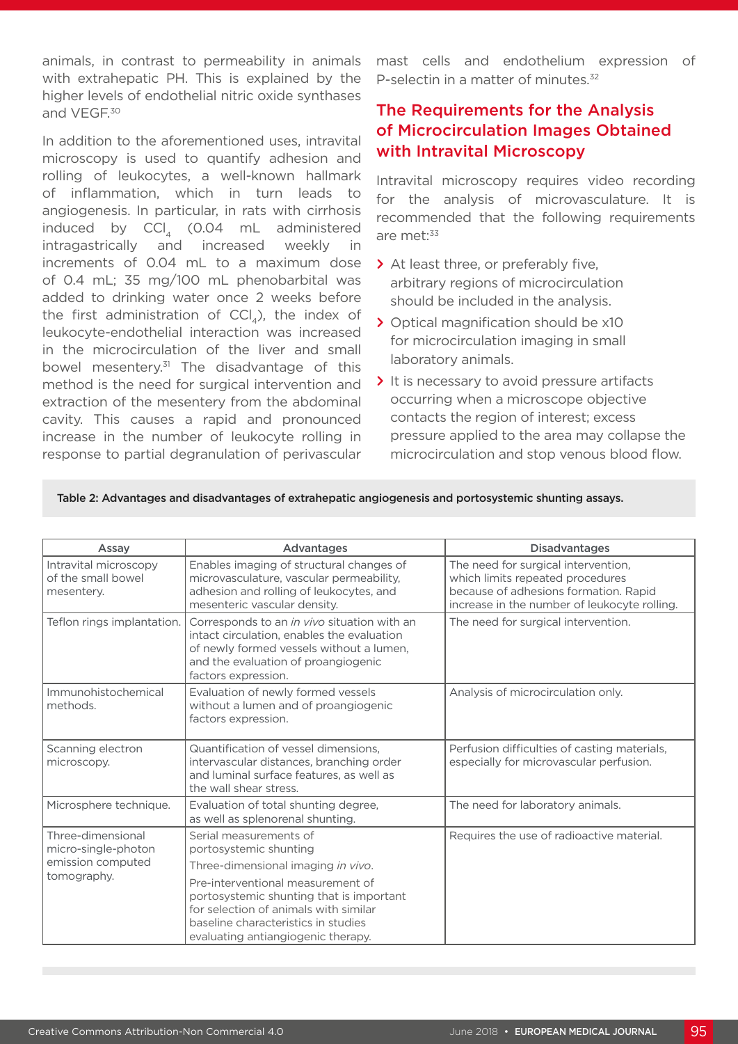animals, in contrast to permeability in animals with extrahepatic PH. This is explained by the higher levels of endothelial nitric oxide synthases and VEGF.30

In addition to the aforementioned uses, intravital microscopy is used to quantify adhesion and rolling of leukocytes, a well-known hallmark of inflammation, which in turn leads to angiogenesis. In particular, in rats with cirrhosis induced by  $\text{CCI}_4$  (0.04 mL administered<br>intragastrically and increased weekly in intragastrically and increased weekly in increments of 0.04 mL to a maximum dose of 0.4 mL; 35 mg/100 mL phenobarbital was added to drinking water once 2 weeks before the first administration of  $\text{CCI}_4$ ), the index of leukocyte-endothelial interaction was increased in the microcirculation of the liver and small bowel mesentery.<sup>31</sup> The disadvantage of this method is the need for surgical intervention and extraction of the mesentery from the abdominal cavity. This causes a rapid and pronounced increase in the number of leukocyte rolling in response to partial degranulation of perivascular

mast cells and endothelium expression of P-selectin in a matter of minutes.<sup>32</sup>

### The Requirements for the Analysis of Microcirculation Images Obtained with Intravital Microscopy

Intravital microscopy requires video recording for the analysis of microvasculature. It is recommended that the following requirements are met:<sup>33</sup>

- **>** At least three, or preferably five, arbitrary regions of microcirculation should be included in the analysis.
- **>** Optical magnification should be x10 for microcirculation imaging in small laboratory animals.
- **>** It is necessary to avoid pressure artifacts occurring when a microscope objective contacts the region of interest; excess pressure applied to the area may collapse the microcirculation and stop venous blood flow.

| Assay                                                                        | Advantages                                                                                                                                                                                          | <b>Disadvantages</b>                                                                                                                                             |
|------------------------------------------------------------------------------|-----------------------------------------------------------------------------------------------------------------------------------------------------------------------------------------------------|------------------------------------------------------------------------------------------------------------------------------------------------------------------|
| Intravital microscopy<br>of the small bowel<br>mesentery.                    | Enables imaging of structural changes of<br>microvasculature, vascular permeability,<br>adhesion and rolling of leukocytes, and<br>mesenteric vascular density.                                     | The need for surgical intervention,<br>which limits repeated procedures<br>because of adhesions formation. Rapid<br>increase in the number of leukocyte rolling. |
| Teflon rings implantation.                                                   | Corresponds to an in vivo situation with an<br>intact circulation, enables the evaluation<br>of newly formed vessels without a lumen,<br>and the evaluation of proangiogenic<br>factors expression. | The need for surgical intervention.                                                                                                                              |
| Immunohistochemical<br>methods.                                              | Evaluation of newly formed vessels<br>without a lumen and of proangiogenic<br>factors expression.                                                                                                   | Analysis of microcirculation only.                                                                                                                               |
| Scanning electron<br>microscopy.                                             | Quantification of vessel dimensions.<br>intervascular distances, branching order<br>and luminal surface features, as well as<br>the wall shear stress.                                              | Perfusion difficulties of casting materials,<br>especially for microvascular perfusion.                                                                          |
| Microsphere technique.                                                       | Evaluation of total shunting degree,<br>as well as splenorenal shunting.                                                                                                                            | The need for laboratory animals.                                                                                                                                 |
| Three-dimensional<br>micro-single-photon<br>emission computed<br>tomography. | Serial measurements of<br>portosystemic shunting                                                                                                                                                    | Requires the use of radioactive material.                                                                                                                        |
|                                                                              | Three-dimensional imaging in vivo.                                                                                                                                                                  |                                                                                                                                                                  |
|                                                                              | Pre-interventional measurement of<br>portosystemic shunting that is important<br>for selection of animals with similar<br>baseline characteristics in studies<br>evaluating antiangiogenic therapy. |                                                                                                                                                                  |

Table 2: Advantages and disadvantages of extrahepatic angiogenesis and portosystemic shunting assays.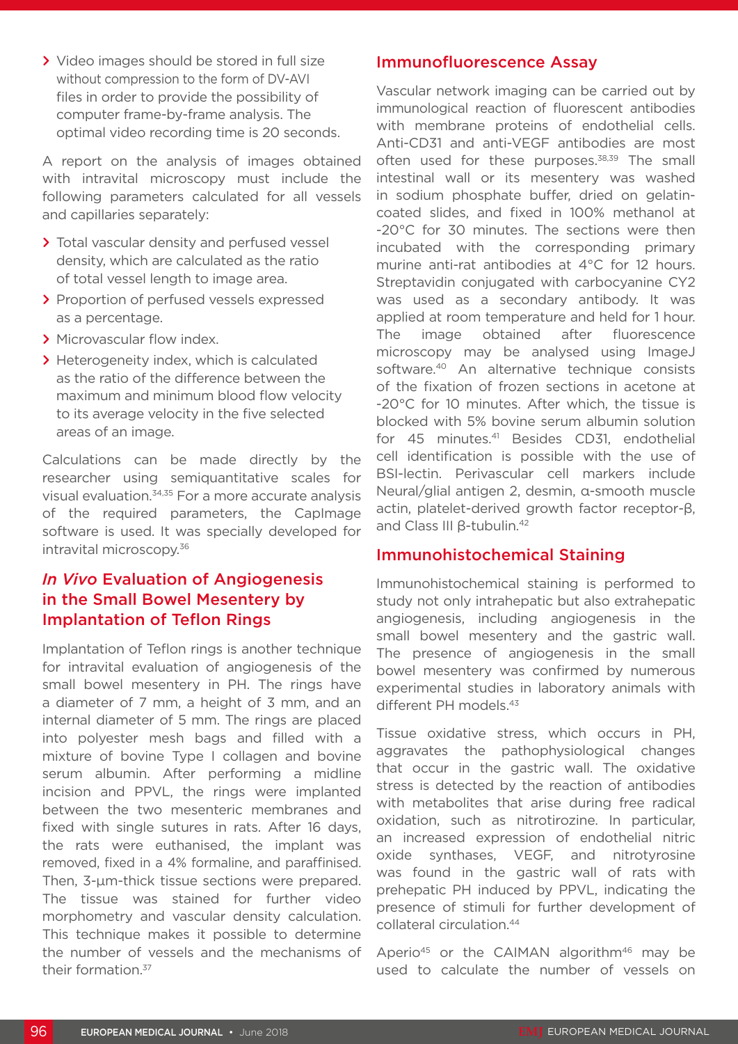**>** Video images should be stored in full size without compression to the form of DV-AVI files in order to provide the possibility of computer frame-by-frame analysis. The optimal video recording time is 20 seconds.

A report on the analysis of images obtained with intravital microscopy must include the following parameters calculated for all vessels and capillaries separately:

- **>** Total vascular density and perfused vessel density, which are calculated as the ratio of total vessel length to image area.
- **>** Proportion of perfused vessels expressed as a percentage.
- **>** Microvascular flow index.
- **>** Heterogeneity index, which is calculated as the ratio of the difference between the maximum and minimum blood flow velocity to its average velocity in the five selected areas of an image.

Calculations can be made directly by the researcher using semiquantitative scales for visual evaluation.34,35 For a more accurate analysis of the required parameters, the CapImage software is used. It was specially developed for intravital microscopy.36

## *In Vivo* Evaluation of Angiogenesis in the Small Bowel Mesentery by Implantation of Teflon Rings

Implantation of Teflon rings is another technique for intravital evaluation of angiogenesis of the small bowel mesentery in PH. The rings have a diameter of 7 mm, a height of 3 mm, and an internal diameter of 5 mm. The rings are placed into polyester mesh bags and filled with a mixture of bovine Type I collagen and bovine serum albumin. After performing a midline incision and PPVL, the rings were implanted between the two mesenteric membranes and fixed with single sutures in rats. After 16 days, the rats were euthanised, the implant was removed, fixed in a 4% formaline, and paraffinised. Then, 3-μm-thick tissue sections were prepared. The tissue was stained for further video morphometry and vascular density calculation. This technique makes it possible to determine the number of vessels and the mechanisms of their formation.<sup>37</sup>

#### Immunofluorescence Assay

Vascular network imaging can be carried out by immunological reaction of fluorescent antibodies with membrane proteins of endothelial cells. Anti-CD31 and anti-VEGF antibodies are most often used for these purposes.<sup>38,39</sup> The small intestinal wall or its mesentery was washed in sodium phosphate buffer, dried on gelatincoated slides, and fixed in 100% methanol at -20°C for 30 minutes. The sections were then incubated with the corresponding primary murine anti-rat antibodies at 4°C for 12 hours. Streptavidin conjugated with carbocyanine CY2 was used as a secondary antibody. It was applied at room temperature and held for 1 hour. The image obtained after fluorescence microscopy may be analysed using ImageJ software.<sup>40</sup> An alternative technique consists of the fixation of frozen sections in acetone at -20°C for 10 minutes. After which, the tissue is blocked with 5% bovine serum albumin solution for 45 minutes.41 Besides CD31, endothelial cell identification is possible with the use of BSI-lectin. Perivascular cell markers include Neural/glial antigen 2, desmin, α-smooth muscle actin, platelet-derived growth factor receptor-β, and Class III β-tubulin.42

#### Immunohistochemical Staining

Immunohistochemical staining is performed to study not only intrahepatic but also extrahepatic angiogenesis, including angiogenesis in the small bowel mesentery and the gastric wall. The presence of angiogenesis in the small bowel mesentery was confirmed by numerous experimental studies in laboratory animals with different PH models.43

Tissue oxidative stress, which occurs in PH, aggravates the pathophysiological changes that occur in the gastric wall. The oxidative stress is detected by the reaction of antibodies with metabolites that arise during free radical oxidation, such as nitrotirozine. In particular, an increased expression of endothelial nitric oxide synthases, VEGF, and nitrotyrosine was found in the gastric wall of rats with prehepatic PH induced by PPVL, indicating the presence of stimuli for further development of collateral circulation.44

Aperio<sup>45</sup> or the CAIMAN algorithm<sup>46</sup> may be used to calculate the number of vessels on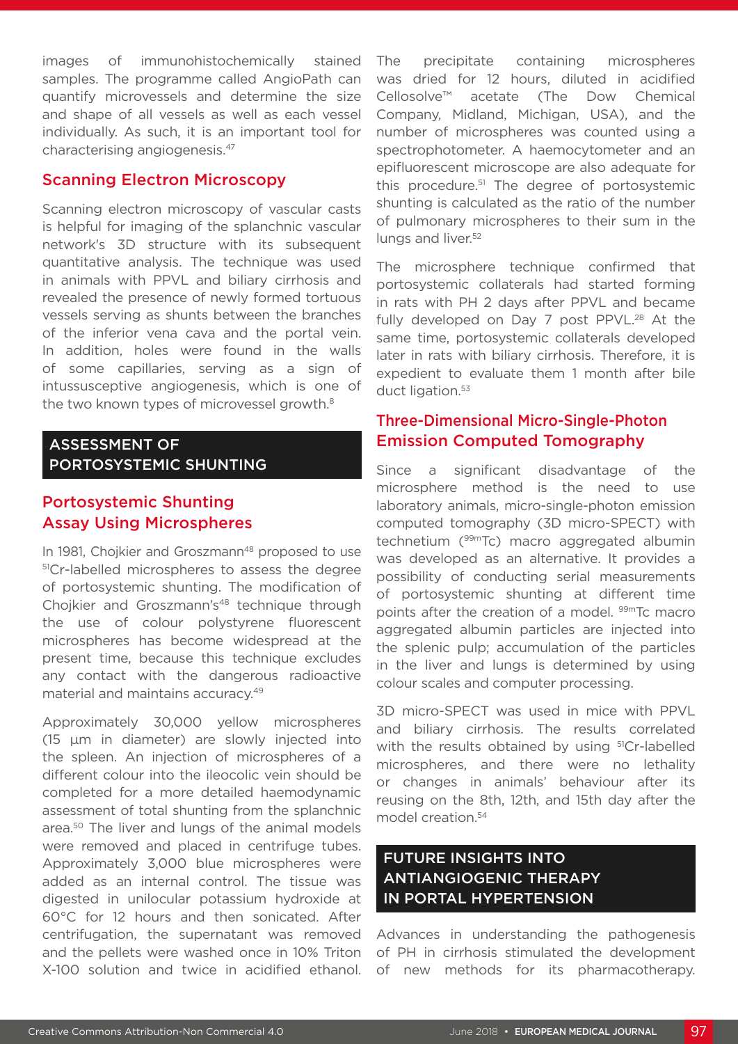images of immunohistochemically stained samples. The programme called AngioPath can quantify microvessels and determine the size and shape of all vessels as well as each vessel individually. As such, it is an important tool for characterising angiogenesis.47

#### Scanning Electron Microscopy

Scanning electron microscopy of vascular casts is helpful for imaging of the splanchnic vascular network's 3D structure with its subsequent quantitative analysis. The technique was used in animals with PPVL and biliary cirrhosis and revealed the presence of newly formed tortuous vessels serving as shunts between the branches of the inferior vena cava and the portal vein. In addition, holes were found in the walls of some capillaries, serving as a sign of intussusceptive angiogenesis, which is one of the two known types of microvessel growth.<sup>8</sup>

### ASSESSMENT OF PORTOSYSTEMIC SHUNTING

### Portosystemic Shunting Assay Using Microspheres

In 1981, Chojkier and Groszmann<sup>48</sup> proposed to use 51Cr-labelled microspheres to assess the degree of portosystemic shunting. The modification of Choikier and Groszmann's<sup>48</sup> technique through the use of colour polystyrene fluorescent microspheres has become widespread at the present time, because this technique excludes any contact with the dangerous radioactive material and maintains accuracy.49

Approximately 30,000 yellow microspheres (15 μm in diameter) are slowly injected into the spleen. An injection of microspheres of a different colour into the ileocolic vein should be completed for a more detailed haemodynamic assessment of total shunting from the splanchnic area.50 The liver and lungs of the animal models were removed and placed in centrifuge tubes. Approximately 3,000 blue microspheres were added as an internal control. The tissue was digested in unilocular potassium hydroxide at 60°C for 12 hours and then sonicated. After centrifugation, the supernatant was removed and the pellets were washed once in 10% Triton X-100 solution and twice in acidified ethanol. The precipitate containing microspheres was dried for 12 hours, diluted in acidified Cellosolve™ acetate (The Dow Chemical Company, Midland, Michigan, USA), and the number of microspheres was counted using a spectrophotometer. A haemocytometer and an epifluorescent microscope are also adequate for this procedure.51 The degree of portosystemic shunting is calculated as the ratio of the number of pulmonary microspheres to their sum in the lungs and liver.<sup>52</sup>

The microsphere technique confirmed that portosystemic collaterals had started forming in rats with PH 2 days after PPVL and became fully developed on Day 7 post PPVL.<sup>28</sup> At the same time, portosystemic collaterals developed later in rats with biliary cirrhosis. Therefore, it is expedient to evaluate them 1 month after bile duct ligation.<sup>53</sup>

### Three-Dimensional Micro-Single-Photon Emission Computed Tomography

Since a significant disadvantage of the microsphere method is the need to use laboratory animals, micro-single-photon emission computed tomography (3D micro-SPECT) with technetium (99mTc) macro aggregated albumin was developed as an alternative. It provides a possibility of conducting serial measurements of portosystemic shunting at different time points after the creation of a model. <sup>99m</sup>Tc macro aggregated albumin particles are injected into the splenic pulp; accumulation of the particles in the liver and lungs is determined by using colour scales and computer processing.

3D micro-SPECT was used in mice with PPVL and biliary cirrhosis. The results correlated with the results obtained by using <sup>51</sup>Cr-labelled microspheres, and there were no lethality or changes in animals' behaviour after its reusing on the 8th, 12th, and 15th day after the model creation.54

## FUTURE INSIGHTS INTO ANTIANGIOGENIC THERAPY IN PORTAL HYPERTENSION

Advances in understanding the pathogenesis of PH in cirrhosis stimulated the development of new methods for its pharmacotherapy.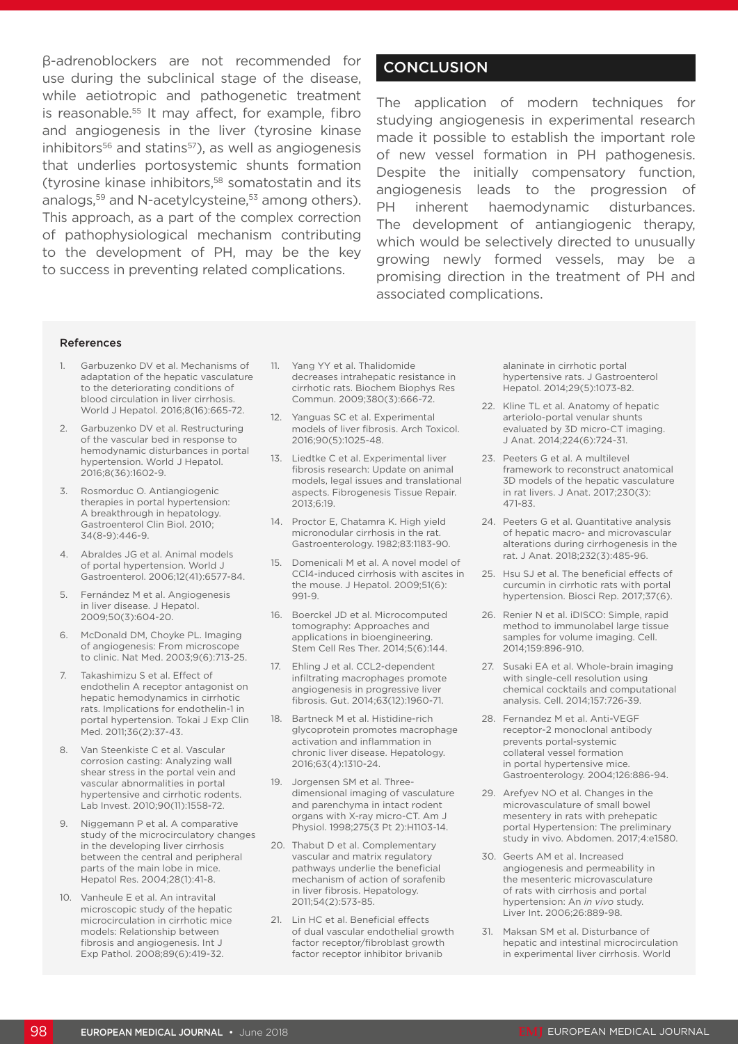β-adrenoblockers are not recommended for use during the subclinical stage of the disease, while aetiotropic and pathogenetic treatment is reasonable.<sup>55</sup> It may affect, for example, fibro and angiogenesis in the liver (tyrosine kinase  $inhibitors<sup>56</sup>$  and statins<sup>57</sup>), as well as angiogenesis that underlies portosystemic shunts formation (tyrosine kinase inhibitors,<sup>58</sup> somatostatin and its analogs,<sup>59</sup> and N-acetylcysteine,<sup>53</sup> among others). This approach, as a part of the complex correction of pathophysiological mechanism contributing to the development of PH, may be the key to success in preventing related complications.

### **CONCLUSION**

The application of modern techniques for studying angiogenesis in experimental research made it possible to establish the important role of new vessel formation in PH pathogenesis. Despite the initially compensatory function, angiogenesis leads to the progression of PH inherent haemodynamic disturbances. The development of antiangiogenic therapy, which would be selectively directed to unusually growing newly formed vessels, may be a promising direction in the treatment of PH and associated complications.

#### References

- 1. Garbuzenko DV et al. Mechanisms of adaptation of the hepatic vasculature to the deteriorating conditions of blood circulation in liver cirrhosis. World J Hepatol. 2016;8(16):665-72.
- Garbuzenko DV et al. Restructuring of the vascular bed in response to hemodynamic disturbances in portal hypertension. World J Hepatol. 2016;8(36):1602-9.
- 3. Rosmorduc O. Antiangiogenic therapies in portal hypertension: A breakthrough in hepatology. Gastroenterol Clin Biol. 2010; 34(8-9):446-9.
- 4. Abraldes JG et al. Animal models of portal hypertension. World J Gastroenterol. 2006;12(41):6577-84.
- 5. Fernández M et al. Angiogenesis in liver disease. J Hepatol. 2009;50(3):604-20.
- 6. McDonald DM, Choyke PL. Imaging of angiogenesis: From microscope to clinic. Nat Med. 2003;9(6):713-25.
- 7. Takashimizu S et al. Effect of endothelin A receptor antagonist on hepatic hemodynamics in cirrhotic rats. Implications for endothelin-1 in portal hypertension. Tokai J Exp Clin Med. 2011;36(2):37-43.
- 8. Van Steenkiste C et al. Vascular corrosion casting: Analyzing wall shear stress in the portal vein and vascular abnormalities in portal hypertensive and cirrhotic rodents. Lab Invest. 2010;90(11):1558-72.
- 9. Niggemann P et al. A comparative study of the microcirculatory changes in the developing liver cirrhosis between the central and peripheral parts of the main lobe in mice. Hepatol Res. 2004;28(1):41-8.
- 10. Vanheule E et al. An intravital microscopic study of the hepatic microcirculation in cirrhotic mice models: Relationship between fibrosis and angiogenesis. Int J Exp Pathol. 2008;89(6):419-32.
- 11. Yang YY et al. Thalidomide decreases intrahepatic resistance in cirrhotic rats. Biochem Biophys Res Commun. 2009;380(3):666-72.
- 12. Yanguas SC et al. Experimental models of liver fibrosis. Arch Toxicol. 2016;90(5):1025-48.
- 13. Liedtke C et al. Experimental liver fibrosis research: Update on animal models, legal issues and translational aspects. Fibrogenesis Tissue Repair. 2013;6:19.
- 14. Proctor E, Chatamra K. High yield micronodular cirrhosis in the rat. Gastroenterology. 1982;83:1183-90.
- 15. Domenicali M et al. A novel model of CCl4-induced cirrhosis with ascites in the mouse. J Hepatol. 2009;51(6): 991-9.
- 16. Boerckel JD et al. Microcomputed tomography: Approaches and applications in bioengineering. Stem Cell Res Ther. 2014;5(6):144.
- 17. Ehling J et al. CCL2-dependent infiltrating macrophages promote angiogenesis in progressive liver fibrosis. Gut. 2014;63(12):1960-71.
- 18. Bartneck M et al. Histidine-rich glycoprotein promotes macrophage activation and inflammation in chronic liver disease. Hepatology. 2016;63(4):1310-24.
- 19. Jorgensen SM et al. Threedimensional imaging of vasculature and parenchyma in intact rodent organs with X-ray micro-CT. Am J Physiol. 1998;275(3 Pt 2):H1103-14.
- 20. Thabut D et al. Complementary vascular and matrix regulatory pathways underlie the beneficial mechanism of action of sorafenib in liver fibrosis. Hepatology. 2011;54(2):573-85.
- 21. Lin HC et al. Beneficial effects of dual vascular endothelial growth factor receptor/fibroblast growth factor receptor inhibitor brivanib

alaninate in cirrhotic portal hypertensive rats. J Gastroenterol Hepatol. 2014;29(5):1073-82.

- 22. Kline TL et al. Anatomy of hepatic arteriolo-portal venular shunts evaluated by 3D micro-CT imaging. J Anat. 2014;224(6):724-31.
- 23. Peeters G et al. A multilevel framework to reconstruct anatomical 3D models of the hepatic vasculature in rat livers. J Anat. 2017;230(3): 471-83.
- 24. Peeters G et al. Quantitative analysis of hepatic macro- and microvascular alterations during cirrhogenesis in the rat. J Anat. 2018;232(3):485-96.
- 25. Hsu SJ et al. The beneficial effects of curcumin in cirrhotic rats with portal hypertension. Biosci Rep. 2017;37(6).
- 26. Renier N et al. iDISCO: Simple, rapid method to immunolabel large tissue samples for volume imaging. Cell. 2014;159:896-910.
- 27. Susaki EA et al. Whole-brain imaging with single-cell resolution using chemical cocktails and computational analysis. Cell. 2014;157:726-39.
- 28. Fernandez M et al. Anti-VEGF receptor-2 monoclonal antibody prevents portal-systemic collateral vessel formation in portal hypertensive mice. Gastroenterology. 2004;126:886-94.
- 29. Arefyev NO et al. Changes in the microvasculature of small bowel mesentery in rats with prehepatic portal Hypertension: The preliminary study in vivo. Abdomen. 2017;4:e1580.
- 30. Geerts AM et al. Increased angiogenesis and permeability in the mesenteric microvasculature of rats with cirrhosis and portal hypertension: An *in vivo* study. Liver Int. 2006;26:889-98.
- 31. Maksan SM et al. Disturbance of hepatic and intestinal microcirculation in experimental liver cirrhosis. World